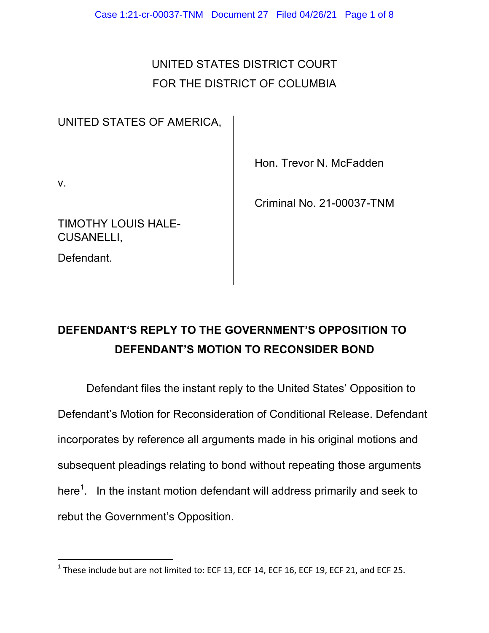## UNITED STATES DISTRICT COURT FOR THE DISTRICT OF COLUMBIA

## UNITED STATES OF AMERICA,

Hon. Trevor N. McFadden

v.

Criminal No. 21-00037-TNM

TIMOTHY LOUIS HALE-CUSANELLI,

 

Defendant.

## **DEFENDANT'S REPLY TO THE GOVERNMENT'S OPPOSITION TO DEFENDANT'S MOTION TO RECONSIDER BOND**

Defendant files the instant reply to the United States' Opposition to Defendant's Motion for Reconsideration of Conditional Release. Defendant incorporates by reference all arguments made in his original motions and subsequent pleadings relating to bond without repeating those arguments here<sup>1</sup>. In the instant motion defendant will address primarily and seek to rebut the Government's Opposition.

 $1$  These include but are not limited to: ECF 13, ECF 14, ECF 16, ECF 19, ECF 21, and ECF 25.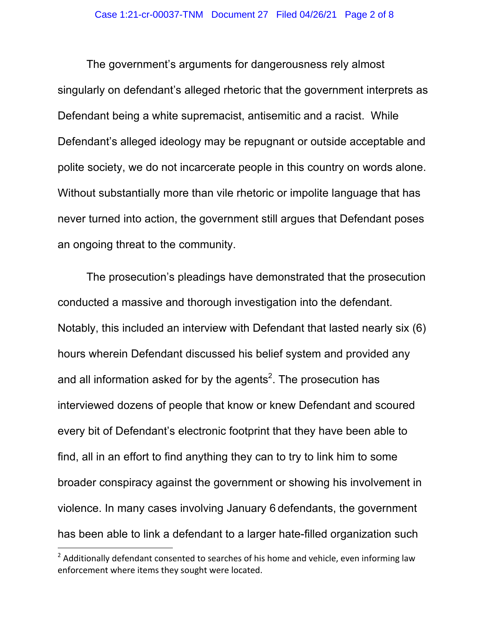The government's arguments for dangerousness rely almost singularly on defendant's alleged rhetoric that the government interprets as Defendant being a white supremacist, antisemitic and a racist. While Defendant's alleged ideology may be repugnant or outside acceptable and polite society, we do not incarcerate people in this country on words alone. Without substantially more than vile rhetoric or impolite language that has never turned into action, the government still argues that Defendant poses an ongoing threat to the community.

The prosecution's pleadings have demonstrated that the prosecution conducted a massive and thorough investigation into the defendant. Notably, this included an interview with Defendant that lasted nearly six (6) hours wherein Defendant discussed his belief system and provided any and all information asked for by the agents<sup>2</sup>. The prosecution has interviewed dozens of people that know or knew Defendant and scoured every bit of Defendant's electronic footprint that they have been able to find, all in an effort to find anything they can to try to link him to some broader conspiracy against the government or showing his involvement in violence. In many cases involving January 6 defendants, the government has been able to link a defendant to a larger hate-filled organization such

<sup>&</sup>lt;sup>2</sup> Additionally defendant consented to searches of his home and vehicle, even informing law enforcement where items they sought were located.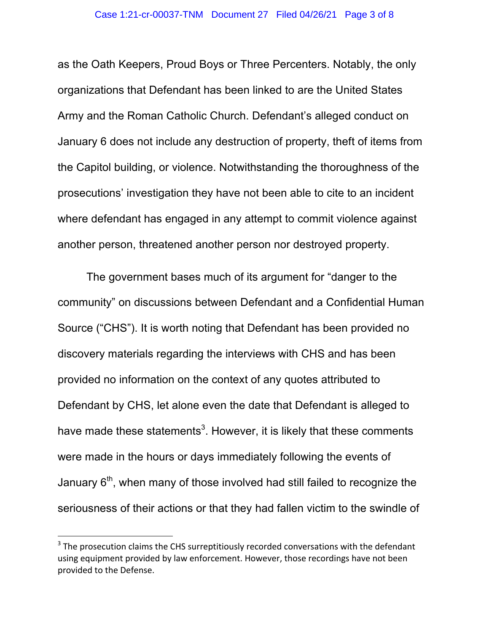as the Oath Keepers, Proud Boys or Three Percenters. Notably, the only organizations that Defendant has been linked to are the United States Army and the Roman Catholic Church. Defendant's alleged conduct on January 6 does not include any destruction of property, theft of items from the Capitol building, or violence. Notwithstanding the thoroughness of the prosecutions' investigation they have not been able to cite to an incident where defendant has engaged in any attempt to commit violence against another person, threatened another person nor destroyed property.

The government bases much of its argument for "danger to the community" on discussions between Defendant and a Confidential Human Source ("CHS"). It is worth noting that Defendant has been provided no discovery materials regarding the interviews with CHS and has been provided no information on the context of any quotes attributed to Defendant by CHS, let alone even the date that Defendant is alleged to have made these statements<sup>3</sup>. However, it is likely that these comments were made in the hours or days immediately following the events of January  $6<sup>th</sup>$ , when many of those involved had still failed to recognize the seriousness of their actions or that they had fallen victim to the swindle of

 $3$  The prosecution claims the CHS surreptitiously recorded conversations with the defendant using equipment provided by law enforcement. However, those recordings have not been provided to the Defense.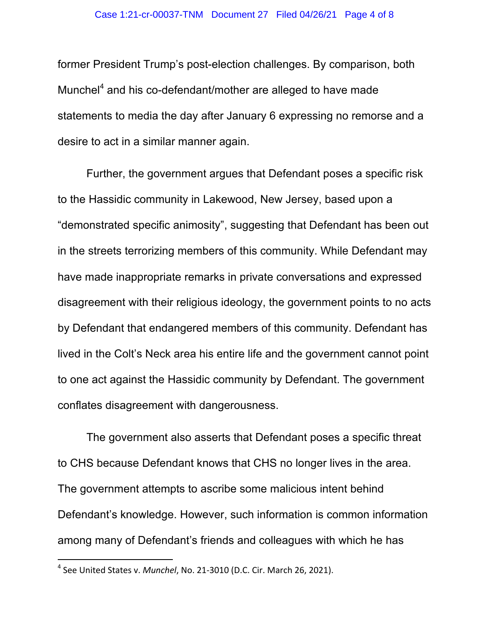former President Trump's post-election challenges. By comparison, both Munchel<sup>4</sup> and his co-defendant/mother are alleged to have made statements to media the day after January 6 expressing no remorse and a desire to act in a similar manner again.

Further, the government argues that Defendant poses a specific risk to the Hassidic community in Lakewood, New Jersey, based upon a "demonstrated specific animosity", suggesting that Defendant has been out in the streets terrorizing members of this community. While Defendant may have made inappropriate remarks in private conversations and expressed disagreement with their religious ideology, the government points to no acts by Defendant that endangered members of this community. Defendant has lived in the Colt's Neck area his entire life and the government cannot point to one act against the Hassidic community by Defendant. The government conflates disagreement with dangerousness.

The government also asserts that Defendant poses a specific threat to CHS because Defendant knows that CHS no longer lives in the area. The government attempts to ascribe some malicious intent behind Defendant's knowledge. However, such information is common information among many of Defendant's friends and colleagues with which he has

<sup>&</sup>lt;sup>4</sup> See United States v. *Munchel*, No. 21-3010 (D.C. Cir. March 26, 2021).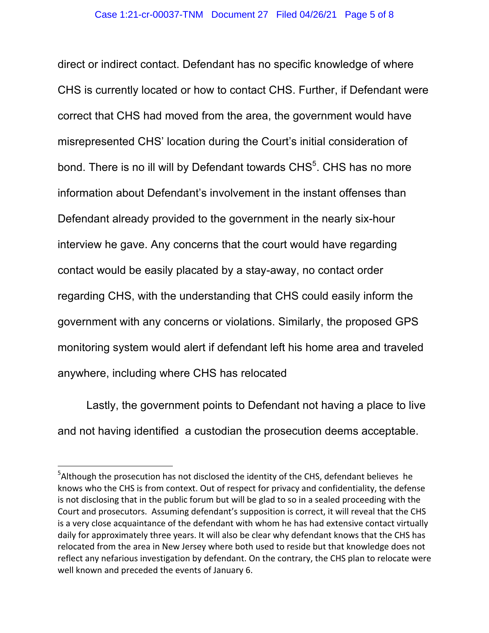direct or indirect contact. Defendant has no specific knowledge of where CHS is currently located or how to contact CHS. Further, if Defendant were correct that CHS had moved from the area, the government would have misrepresented CHS' location during the Court's initial consideration of bond. There is no ill will by Defendant towards  $CHS<sup>5</sup>$ . CHS has no more information about Defendant's involvement in the instant offenses than Defendant already provided to the government in the nearly six-hour interview he gave. Any concerns that the court would have regarding contact would be easily placated by a stay-away, no contact order regarding CHS, with the understanding that CHS could easily inform the government with any concerns or violations. Similarly, the proposed GPS monitoring system would alert if defendant left his home area and traveled anywhere, including where CHS has relocated

Lastly, the government points to Defendant not having a place to live and not having identified a custodian the prosecution deems acceptable.

 $5$ Although the prosecution has not disclosed the identity of the CHS, defendant believes he knows who the CHS is from context. Out of respect for privacy and confidentiality, the defense is not disclosing that in the public forum but will be glad to so in a sealed proceeding with the Court and prosecutors. Assuming defendant's supposition is correct, it will reveal that the CHS is a very close acquaintance of the defendant with whom he has had extensive contact virtually daily for approximately three years. It will also be clear why defendant knows that the CHS has relocated from the area in New Jersey where both used to reside but that knowledge does not reflect any nefarious investigation by defendant. On the contrary, the CHS plan to relocate were well known and preceded the events of January 6.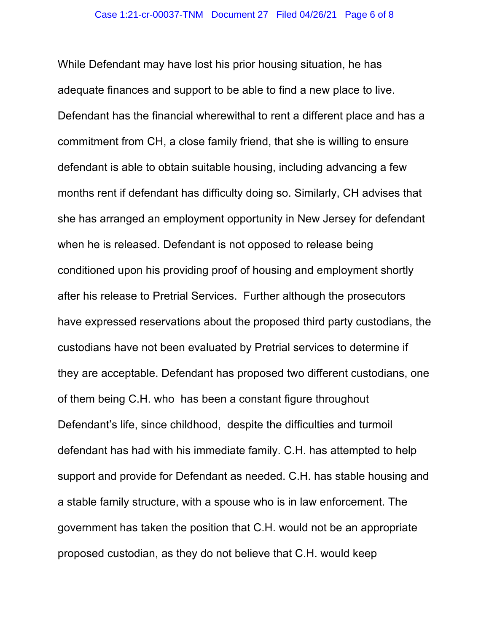While Defendant may have lost his prior housing situation, he has adequate finances and support to be able to find a new place to live. Defendant has the financial wherewithal to rent a different place and has a commitment from CH, a close family friend, that she is willing to ensure defendant is able to obtain suitable housing, including advancing a few months rent if defendant has difficulty doing so. Similarly, CH advises that she has arranged an employment opportunity in New Jersey for defendant when he is released. Defendant is not opposed to release being conditioned upon his providing proof of housing and employment shortly after his release to Pretrial Services. Further although the prosecutors have expressed reservations about the proposed third party custodians, the custodians have not been evaluated by Pretrial services to determine if they are acceptable. Defendant has proposed two different custodians, one of them being C.H. who has been a constant figure throughout Defendant's life, since childhood, despite the difficulties and turmoil defendant has had with his immediate family. C.H. has attempted to help support and provide for Defendant as needed. C.H. has stable housing and a stable family structure, with a spouse who is in law enforcement. The government has taken the position that C.H. would not be an appropriate proposed custodian, as they do not believe that C.H. would keep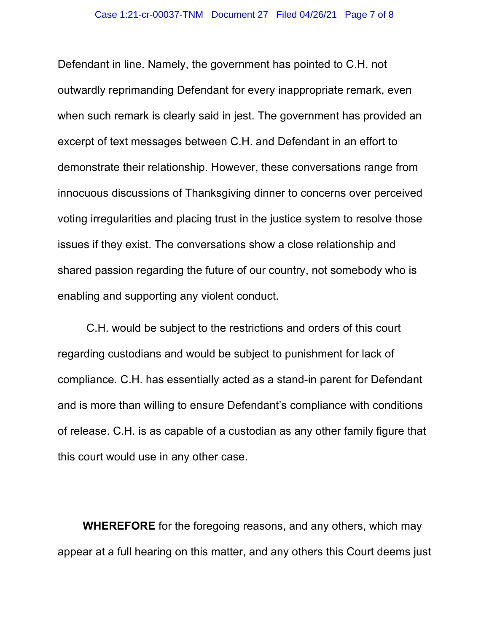Defendant in line. Namely, the government has pointed to C.H. not outwardly reprimanding Defendant for every inappropriate remark, even when such remark is clearly said in jest. The government has provided an excerpt of text messages between C.H. and Defendant in an effort to demonstrate their relationship. However, these conversations range from innocuous discussions of Thanksgiving dinner to concerns over perceived voting irregularities and placing trust in the justice system to resolve those issues if they exist. The conversations show a close relationship and shared passion regarding the future of our country, not somebody who is enabling and supporting any violent conduct.

C.H. would be subject to the restrictions and orders of this court regarding custodians and would be subject to punishment for lack of compliance. C.H. has essentially acted as a stand-in parent for Defendant and is more than willing to ensure Defendant's compliance with conditions of release. C.H. is as capable of a custodian as any other family figure that this court would use in any other case.

**WHEREFORE** for the foregoing reasons, and any others, which may appear at a full hearing on this matter, and any others this Court deems just